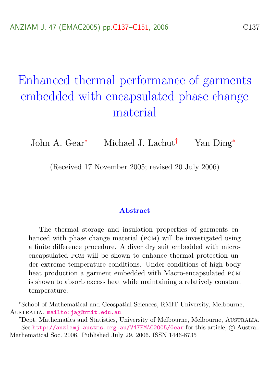# <span id="page-0-0"></span>Enhanced thermal performance of garments embedded with encapsulated phase change material

John A. Gear<sup>∗</sup> Michael J. Lachut† Yan Ding<sup>∗</sup>

(Received 17 November 2005; revised 20 July 2006)

#### Abstract

The thermal storage and insulation properties of garments enhanced with phase change material (pcm) will be investigated using a finite difference procedure. A diver dry suit embedded with microencapsulated pcm will be shown to enhance thermal protection under extreme temperature conditions. Under conditions of high body heat production a garment embedded with Macro-encapsulated PCM is shown to absorb excess heat while maintaining a relatively constant temperature.

<sup>∗</sup>School of Mathematical and Geospatial Sciences, RMIT University, Melbourne, Australia. <mailto:jag@rmit.edu.au>

<sup>&</sup>lt;sup>†</sup>Dept. Mathematics and Statistics, University of Melbourne, Melbourne, Australia. See <http://anziamj.austms.org.au/V47EMAC2005/Gear> for this article, © Austral. Mathematical Soc. 2006. Published July 29, 2006. ISSN 1446-8735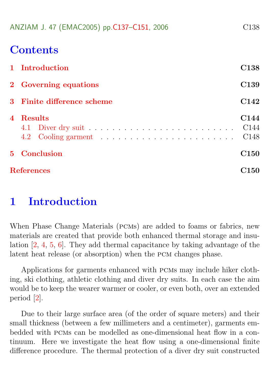<span id="page-1-1"></span>

|  |  | ANZIAM J. 47 (EMAC2005) pp.C137-C151, 2006 |  | C138 |
|--|--|--------------------------------------------|--|------|
|--|--|--------------------------------------------|--|------|

## **Contents**

|                         | 1 Introduction             | C138                                                     |
|-------------------------|----------------------------|----------------------------------------------------------|
|                         | 2 Governing equations      | C <sub>139</sub>                                         |
|                         | 3 Finite difference scheme | C <sub>142</sub>                                         |
| $\overline{\mathbf{4}}$ | Results                    | C <sub>144</sub><br>C <sub>144</sub><br>C <sub>148</sub> |
|                         | 5 Conclusion               | C <sub>150</sub>                                         |
|                         | <b>References</b>          | C150                                                     |

# <span id="page-1-0"></span>1 Introduction

When Phase Change Materials (pcms) are added to foams or fabrics, new materials are created that provide both enhanced thermal storage and insulation [\[2,](#page-14-0) [4,](#page-14-1) [5,](#page-14-2) [6\]](#page-14-3). They add thermal capacitance by taking advantage of the latent heat release (or absorption) when the pcm changes phase.

Applications for garments enhanced with pcms may include hiker clothing, ski clothing, athletic clothing and diver dry suits. In each case the aim would be to keep the wearer warmer or cooler, or even both, over an extended period [\[2\]](#page-14-0).

Due to their large surface area (of the order of square meters) and their small thickness (between a few millimeters and a centimeter), garments embedded with pcms can be modelled as one-dimensional heat flow in a continuum. Here we investigate the heat flow using a one-dimensional finite difference procedure. The thermal protection of a diver dry suit constructed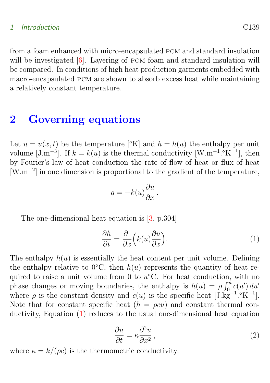#### <span id="page-2-3"></span>1 Introduction C139

from a foam enhanced with micro-encapsulated pcm and standard insulation will be investigated [\[6\]](#page-14-3). Layering of PCM foam and standard insulation will be compared. In conditions of high heat production garments embedded with macro-encapsulated pcm are shown to absorb excess heat while maintaining a relatively constant temperature.

## <span id="page-2-0"></span>2 Governing equations

Let  $u = u(x, t)$  be the temperature  $\lceil \lceil \cdot K \rceil \rceil$  and  $h = h(u)$  the enthalpy per unit volume [J.m<sup>-3</sup>]. If  $k = k(u)$  is the thermal conductivity [W.m<sup>-1</sup>.°K<sup>-1</sup>], then by Fourier's law of heat conduction the rate of flow of heat or flux of heat [W.m<sup>−</sup><sup>2</sup> ] in one dimension is proportional to the gradient of the temperature,

<span id="page-2-1"></span>
$$
q = -k(u)\frac{\partial u}{\partial x}.
$$

The one-dimensional heat equation is [\[3,](#page-14-4) p.304]

$$
\frac{\partial h}{\partial t} = \frac{\partial}{\partial x} \left( k(u) \frac{\partial u}{\partial x} \right).
$$
 (1)

The enthalpy  $h(u)$  is essentially the heat content per unit volume. Defining the enthalpy relative to 0<sup>°</sup>C, then  $h(u)$  represents the quantity of heat required to raise a unit volume from 0 to  $u$ <sup>o</sup>C. For heat conduction, with no phase changes or moving boundaries, the enthalpy is  $h(u) = \rho \int_0^u c(u') du'$ where  $\rho$  is the constant density and  $c(u)$  is the specific heat  $[J.\dot{g}^{-1}.\dot{K}^{-1}]$ . Note that for constant specific heat  $(h = \rho c u)$  and constant thermal conductivity, Equation [\(1\)](#page-2-1) reduces to the usual one-dimensional heat equation

$$
\frac{\partial u}{\partial t} = \kappa \frac{\partial^2 u}{\partial x^2},\tag{2}
$$

<span id="page-2-2"></span>where  $\kappa = k/(\rho c)$  is the thermometric conductivity.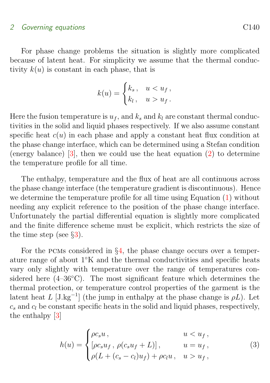#### <span id="page-3-1"></span>2 Governing equations C140

For phase change problems the situation is slightly more complicated because of latent heat. For simplicity we assume that the thermal conductivity  $k(u)$  is constant in each phase, that is

$$
k(u) = \begin{cases} k_s, & u < u_f, \\ k_l, & u > u_f. \end{cases}
$$

Here the fusion temperature is  $u_f$ , and  $k_s$  and  $k_l$  are constant thermal conductivities in the solid and liquid phases respectively. If we also assume constant specific heat  $c(u)$  in each phase and apply a constant heat flux condition at the phase change interface, which can be determined using a Stefan condition (energy balance)  $\lbrack 3 \rbrack$ , then we could use the heat equation  $\lbrack 2 \rbrack$  to determine the temperature profile for all time.

The enthalpy, temperature and the flux of heat are all continuous across the phase change interface (the temperature gradient is discontinuous). Hence we determine the temperature profile for all time using Equation [\(1\)](#page-2-1) without needing any explicit reference to the position of the phase change interface. Unfortunately the partial differential equation is slightly more complicated and the finite difference scheme must be explicit, which restricts the size of the time step (see  $\S 3$ ).

For the PCMs considered in  $\S4$ , the phase change occurs over a temperature range of about 1◦K and the thermal conductivities and specific heats vary only slightly with temperature over the range of temperatures considered here  $(4-36°C)$ . The most significant feature which determines the thermal protection, or temperature control properties of the garment is the latent heat L  $[J.kg^{-1}]$  (the jump in enthalpy at the phase change is  $\rho L$ ). Let  $c_s$  and  $c_l$  be constant specific heats in the solid and liquid phases, respectively, the enthalpy [\[3\]](#page-14-4)

<span id="page-3-0"></span>
$$
h(u) = \begin{cases} \rho c_s u, & u < u_f, \\ [\rho c_s u_f, \rho (c_s u_f + L)], & u = u_f, \\ \rho (L + (c_s - c_l) u_f) + \rho c_l u, & u > u_f, \end{cases}
$$
(3)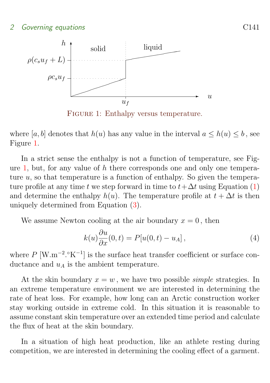

<span id="page-4-0"></span>FIGURE 1: Enthalpy versus temperature.

where [a, b] denotes that  $h(u)$  has any value in the interval  $a \leq h(u) \leq b$ , see Figure [1.](#page-4-0)

In a strict sense the enthalpy is not a function of temperature, see Fig-ure [1,](#page-4-0) but, for any value of  $h$  there corresponds one and only one temperature  $u$ , so that temperature is a function of enthalpy. So given the temperature profile at any time t we step forward in time to  $t + \Delta t$  using Equation [\(1\)](#page-2-1) and determine the enthalpy  $h(u)$ . The temperature profile at  $t + \Delta t$  is then uniquely determined from Equation [\(3\)](#page-3-0).

We assume Newton cooling at the air boundary  $x = 0$ , then

<span id="page-4-1"></span>
$$
k(u)\frac{\partial u}{\partial x}(0,t) = P[u(0,t) - u_A],
$$
\n(4)

where  $P$  [W.m<sup>-2</sup>.°K<sup>-1</sup>] is the surface heat transfer coefficient or surface conductance and  $u_A$  is the ambient temperature.

At the skin boundary  $x = w$ , we have two possible *simple* strategies. In an extreme temperature environment we are interested in determining the rate of heat loss. For example, how long can an Arctic construction worker stay working outside in extreme cold. In this situation it is reasonable to assume constant skin temperature over an extended time period and calculate the flux of heat at the skin boundary.

In a situation of high heat production, like an athlete resting during competition, we are interested in determining the cooling effect of a garment.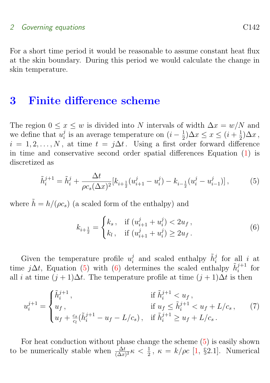#### <span id="page-5-4"></span>2 Governing equations C142

For a short time period it would be reasonable to assume constant heat flux at the skin boundary. During this period we would calculate the change in skin temperature.

### <span id="page-5-0"></span>3 Finite difference scheme

The region  $0 \le x \le w$  is divided into N intervals of width  $\Delta x = w/N$  and we define that  $u_i^j$  $i$  is an average temperature on  $(i - \frac{1}{2})$  $(\frac{1}{2})\Delta x \leq x \leq (i+\frac{1}{2})$  $(\frac{1}{2})\Delta x$ ,  $i = 1, 2, \ldots, N$ , at time  $t = j\Delta t$ . Using a first order forward difference in time and conservative second order spatial differences Equation [\(1\)](#page-2-1) is discretized as

<span id="page-5-1"></span>
$$
\tilde{h}_i^{j+1} = \tilde{h}_i^j + \frac{\Delta t}{\rho c_s (\Delta x)^2} [k_{i+\frac{1}{2}} (u_{i+1}^j - u_i^j) - k_{i-\frac{1}{2}} (u_i^j - u_{i-1}^j)],\tag{5}
$$

where  $\tilde{h} = h/(\rho c_s)$  (a scaled form of the enthalpy) and

<span id="page-5-3"></span><span id="page-5-2"></span>
$$
k_{i+\frac{1}{2}} = \begin{cases} k_s, & \text{if } (u_{i+1}^j + u_i^j) < 2u_f, \\ k_l, & \text{if } (u_{i+1}^j + u_i^j) \ge 2u_f. \end{cases}
$$
 (6)

Given the temperature profile  $u_i^j$  $\tilde{h}_i^j$  and scaled enthalpy  $\tilde{h}_i^j$  for all i at time j∆t, Equation [\(5\)](#page-5-1) with [\(6\)](#page-5-2) determines the scaled enthalpy  $\tilde{h}_i^{j+1}$  for all *i* at time  $(j + 1)\Delta t$ . The temperature profile at time  $(j + 1)\Delta t$  is then

$$
u_i^{j+1} = \begin{cases} \tilde{h}_i^{j+1}, & \text{if } \tilde{h}_i^{j+1} < u_f, \\ u_f, & \text{if } u_f \le \tilde{h}_i^{j+1} < u_f + L/c_s, \\ u_f + \frac{c_s}{c_l} (\tilde{h}_i^{j+1} - u_f - L/c_s), & \text{if } \tilde{h}_i^{j+1} \ge u_f + L/c_s. \end{cases} \tag{7}
$$

For heat conduction without phase change the scheme  $(5)$  is easily shown to be numerically stable when  $\frac{\Delta t}{(\Delta x)^2} \kappa < \frac{1}{2}$ ,  $\kappa = k/\rho c$  [\[1,](#page-13-2) §2.1]. Numerical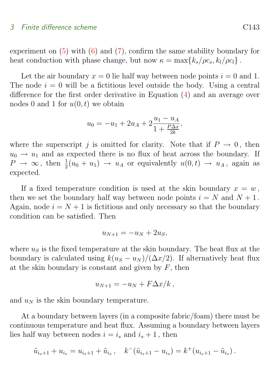#### 3 Finite difference scheme C143

experiment on  $(5)$  with  $(6)$  and  $(7)$ , confirm the same stability boundary for heat conduction with phase change, but now  $\kappa = \max\{k_s/\rho c_s, k_l/\rho c_l\}$ .

Let the air boundary  $x = 0$  lie half way between node points  $i = 0$  and 1. The node  $i = 0$  will be a fictitious level outside the body. Using a central difference for the first order derivative in Equation [\(4\)](#page-4-1) and an average over nodes 0 and 1 for  $u(0, t)$  we obtain

$$
u_0 = -u_1 + 2u_A + 2\frac{u_1 - u_A}{1 + \frac{P\Delta x}{2k}},
$$

where the superscript j is omitted for clarity. Note that if  $P \to 0$ , then  $u_0 \rightarrow u_1$  and as expected there is no flux of heat across the boundary. If  $P \to \infty$ , then  $\frac{1}{2}(u_0 + u_1) \to u_A$  or equivalently  $u(0, t) \to u_A$ , again as expected.

If a fixed temperature condition is used at the skin boundary  $x = w$ , then we set the boundary half way between node points  $i = N$  and  $N + 1$ . Again, node  $i = N + 1$  is fictitious and only necessary so that the boundary condition can be satisfied. Then

$$
u_{N+1} = -u_N + 2u_S,
$$

where  $u<sub>S</sub>$  is the fixed temperature at the skin boundary. The heat flux at the boundary is calculated using  $k(u<sub>S</sub> - u<sub>N</sub>)/(\Delta x/2)$ . If alternatively heat flux at the skin boundary is constant and given by  $F$ , then

$$
u_{N+1} = -u_N + F\Delta x/k,
$$

and  $u_N$  is the skin boundary temperature.

At a boundary between layers (in a composite fabric/foam) there must be continuous temperature and heat flux. Assuming a boundary between layers lies half way between nodes  $i = i_s$  and  $i_s + 1$ , then

$$
\tilde{u}_{i_s+1} + u_{i_s} = u_{i_s+1} + \tilde{u}_{i_s} \,, \quad k^-(\tilde{u}_{i_s+1} - u_{i_s}) = k^+(u_{i_s+1} - \tilde{u}_{i_s}) \,.
$$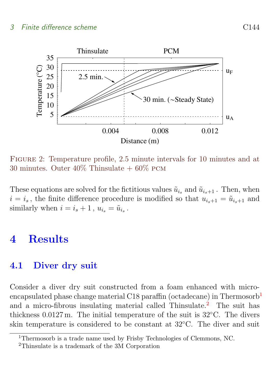### 3 Finite difference scheme C144



<span id="page-7-4"></span>Figure 2: Temperature profile, 2.5 minute intervals for 10 minutes and at 30 minutes. Outer  $40\%$  Thinsulate  $+60\%$  PCM

These equations are solved for the fictitious values  $\tilde{u}_{i_s}$  and  $\tilde{u}_{i_s+1}$ . Then, when  $i = i_s$ , the finite difference procedure is modified so that  $u_{i_s+1} = \tilde{u}_{i_s+1}$  and similarly when  $i = i_s + 1$ ,  $u_{i_s} = \tilde{u}_{i_s}$ .

# <span id="page-7-0"></span>4 Results

### <span id="page-7-1"></span>4.1 Diver dry suit

Consider a diver dry suit constructed from a foam enhanced with micro-encapsulated phase change material C[1](#page-7-2)8 paraffin (octadecane) in Thermosorb<sup>1</sup> and a micro-fibrous insulating material called Thinsulate.<sup>[2](#page-7-3)</sup> The suit has thickness  $0.0127$  m. The initial temperature of the suit is  $32^{\circ}$ C. The divers skin temperature is considered to be constant at 32◦C. The diver and suit

<span id="page-7-2"></span><sup>1</sup>Thermosorb is a trade name used by Frisby Technologies of Clemmons, NC.

<span id="page-7-3"></span><sup>2</sup>Thinsulate is a trademark of the 3M Corporation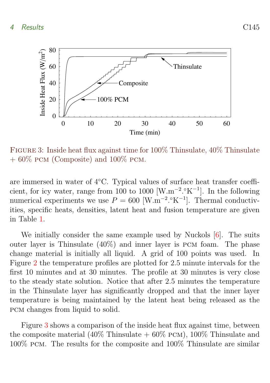<span id="page-8-1"></span>

<span id="page-8-0"></span>Figure 3: Inside heat flux against time for 100% Thinsulate, 40% Thinsulate  $+ 60\%$  PCM (Composite) and 100% PCM.

are immersed in water of 4◦C. Typical values of surface heat transfer coefficient, for icy water, range from 100 to 1000 [W.m<sup>-2</sup>.°K<sup>-1</sup>]. In the following numerical experiments we use  $P = 600$  [W.m<sup>-2</sup>.°K<sup>-1</sup>]. Thermal conductivities, specific heats, densities, latent heat and fusion temperature are given in Table [1.](#page-9-0)

We initially consider the same example used by Nuckols  $[6]$ . The suits outer layer is Thinsulate  $(40\%)$  and inner layer is PCM foam. The phase change material is initially all liquid. A grid of 100 points was used. In Figure [2](#page-7-4) the temperature profiles are plotted for 2.5 minute intervals for the first 10 minutes and at 30 minutes. The profile at 30 minutes is very close to the steady state solution. Notice that after 2.5 minutes the temperature in the Thinsulate layer has significantly dropped and that the inner layer temperature is being maintained by the latent heat being released as the pcm changes from liquid to solid.

Figure [3](#page-8-0) shows a comparison of the inside heat flux against time, between the composite material (40% Thinsulate  $+$  60% pcm), 100% Thinsulate and 100% pcm. The results for the composite and 100% Thinsulate are similar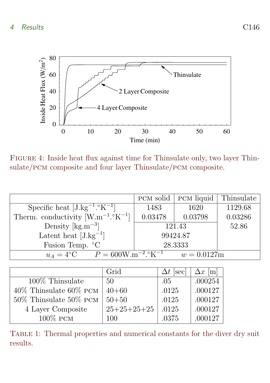### 4 Results C146



<span id="page-9-1"></span>Figure 4: Inside heat flux against time for Thinsulate only, two layer Thinsulate/pcm composite and four layer Thinsulate/pcm composite.

|                                                                             | PCM solid | <b>PCM</b> liquid | Thinsulate |  |
|-----------------------------------------------------------------------------|-----------|-------------------|------------|--|
| Specific heat $[J.kg^{-1}.\degree K^{-1}]$                                  | 1483      | 1620              | 1129.68    |  |
| Therm. conductivity $[W.m^{-1}.oK^{-1}]$                                    | 0.03478   | 0.03798           | 0.03286    |  |
| Density $\rm [kg.m^{-3}]$                                                   | 121.43    |                   | 52.86      |  |
| Latent heat $[J.kg^{-1}]$                                                   | 99424.87  |                   |            |  |
| Fusion Temp. °C                                                             |           | 28.3333           |            |  |
| $u_A = 4$ °C $P = 600$ W.m <sup>-2</sup> .°K <sup>-1</sup><br>$w = 0.0127m$ |           |                   |            |  |

|                                  | Grid          | $\Delta t$  sec | $\Delta x$  m |
|----------------------------------|---------------|-----------------|---------------|
| $100\%$ Thinsulate               | 50            | .05             | .000254       |
| $40\%$ Thin<br>sulate $60\%$ PCM | $40 + 60$     | .0125           | .000127       |
| $50\%$ Thinsulate $50\%$ PCM     | $50 + 50$     | .0125           | .000127       |
| 4 Layer Composite                | $25+25+25+25$ | .0125           | .000127       |
| $100\%$ PCM                      | 100           | .0375           | .000127       |

<span id="page-9-0"></span>Table 1: Thermal properties and numerical constants for the diver dry suit results.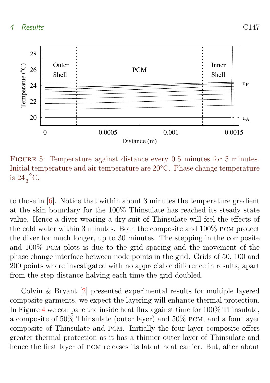<span id="page-10-1"></span>

<span id="page-10-0"></span>FIGURE 5: Temperature against distance every 0.5 minutes for 5 minutes. Initial temperature and air temperature are 20◦C. Phase change temperature is  $24\frac{1}{3}$  $\rm{^{\circ}C}.$ 

to those in [\[6\]](#page-14-3). Notice that within about 3 minutes the temperature gradient at the skin boundary for the 100% Thinsulate has reached its steady state value. Hence a diver wearing a dry suit of Thinsulate will feel the effects of the cold water within 3 minutes. Both the composite and 100% pcm protect the diver for much longer, up to 30 minutes. The stepping in the composite and 100% pcm plots is due to the grid spacing and the movement of the phase change interface between node points in the grid. Grids of 50, 100 and 200 points where investigated with no appreciable difference in results, apart from the step distance halving each time the grid doubled.

Colvin & Bryant [\[2\]](#page-14-0) presented experimental results for multiple layered composite garments, we expect the layering will enhance thermal protection. In Figure [4](#page-9-1) we compare the inside heat flux against time for 100% Thinsulate, a composite of 50% Thinsulate (outer layer) and 50% pcm, and a four layer composite of Thinsulate and pcm. Initially the four layer composite offers greater thermal protection as it has a thinner outer layer of Thinsulate and hence the first layer of pcm releases its latent heat earlier. But, after about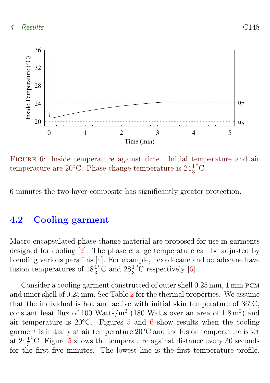<span id="page-11-2"></span>

<span id="page-11-1"></span>Figure 6: Inside temperature against time. Initial temperature and air temperature are 20 $^{\circ}$ C. Phase change temperature is  $24\frac{1}{3}$  $^{\circ}C.$ 

6 minutes the two layer composite has significantly greater protection.

### <span id="page-11-0"></span>4.2 Cooling garment

Macro-encapsulated phase change material are proposed for use in garments designed for cooling [\[2\]](#page-14-0). The phase change temperature can be adjusted by blending various paraffins [\[4\]](#page-14-1). For example, hexadecane and octadecane have fusion temperatures of  $18\frac{1}{3}$ °C and  $28\frac{1}{3}$  $\rm{^{\circ}C}$  respectively [\[6\]](#page-14-3).

Consider a cooling garment constructed of outer shell  $0.25$  mm, 1 mm PCM and inner shell of 0.25 mm, See Table [2](#page-12-0) for the thermal properties. We assume that the individual is hot and active with initial skin temperature of 36◦C, constant heat flux of 100 Watts/m<sup>2</sup> (180 Watts over an area of  $1.8 \text{ m}^2$ ) and air temperature is 20 $°C$ . Figures [5](#page-10-0) and [6](#page-11-1) show results when the cooling garment is initially at air temperature 20◦C and the fusion temperature is set at  $24\frac{1}{3}$ ◦ C. Figure [5](#page-10-0) shows the temperature against distance every 30 seconds for the first five minutes. The lowest line is the first temperature profile.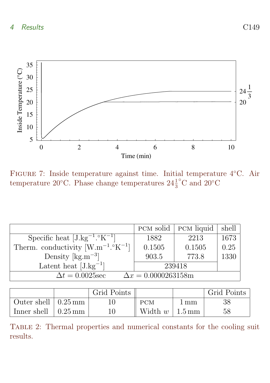

<span id="page-12-1"></span>Figure 7: Inside temperature against time. Initial temperature 4◦C. Air temperature 20 $^{\circ}$ C. Phase change temperatures  $24\frac{1}{3}$  $^{\circ} \mathrm C$  and  $20^{\circ} \mathrm C$ 

|                                                        | PCM solid | <b>PCM</b> liquid | shell |
|--------------------------------------------------------|-----------|-------------------|-------|
| Specific heat $[J.kg^{-1}.\,^{\circ}K^{-1}]$           | 1882      | 2213              | 1673  |
| Therm. conductivity $[W.m^{-1}.\mathcal{C}K^{-1}]$     | 0.1505    | 0.1505            | 0.25  |
| Density $\rm [kg.m^{-3}]$                              | 903.5     | 773.8             | 1330  |
| Latent heat $[J.kg^{-1}]$                              | 239418    |                   |       |
| $\Delta t = 0.0025$ sec<br>$\Delta x = 0.0000263158$ m |           |                   |       |

|                             | Grid Points |                                  |      | Grid Points |
|-----------------------------|-------------|----------------------------------|------|-------------|
| Outer shell $\vert$ 0.25 mm |             | <b>PCM</b>                       | 1 mm | 38          |
| Inner shell $\vert$ 0.25 mm |             | Width $w \mid 1.5 \,\mathrm{mm}$ |      | 58          |

<span id="page-12-0"></span>Table 2: Thermal properties and numerical constants for the cooling suit results.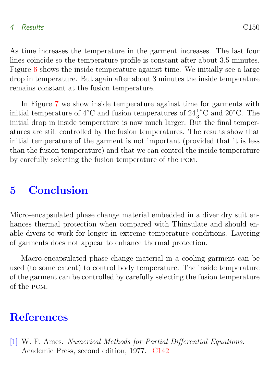### 4 Results C150

As time increases the temperature in the garment increases. The last four lines coincide so the temperature profile is constant after about 3.5 minutes. Figure [6](#page-11-1) shows the inside temperature against time. We initially see a large drop in temperature. But again after about 3 minutes the inside temperature remains constant at the fusion temperature.

In Figure [7](#page-12-1) we show inside temperature against time for garments with initial temperature of 4 $\rm{°C}$  and fusion temperatures of  $24\frac{1}{3}$ ◦ C and 20◦C. The initial drop in inside temperature is now much larger. But the final temperatures are still controlled by the fusion temperatures. The results show that initial temperature of the garment is not important (provided that it is less than the fusion temperature) and that we can control the inside temperature by carefully selecting the fusion temperature of the pcm.

# <span id="page-13-1"></span>5 Conclusion

Micro-encapsulated phase change material embedded in a diver dry suit enhances thermal protection when compared with Thinsulate and should enable divers to work for longer in extreme temperature conditions. Layering of garments does not appear to enhance thermal protection.

Macro-encapsulated phase change material in a cooling garment can be used (to some extent) to control body temperature. The inside temperature of the garment can be controlled by carefully selecting the fusion temperature of the pcm.

# **References**

<span id="page-13-2"></span><span id="page-13-0"></span>[1] W. F. Ames. Numerical Methods for Partial Differential Equations. Academic Press, second edition, 1977. [C142](#page-5-4)